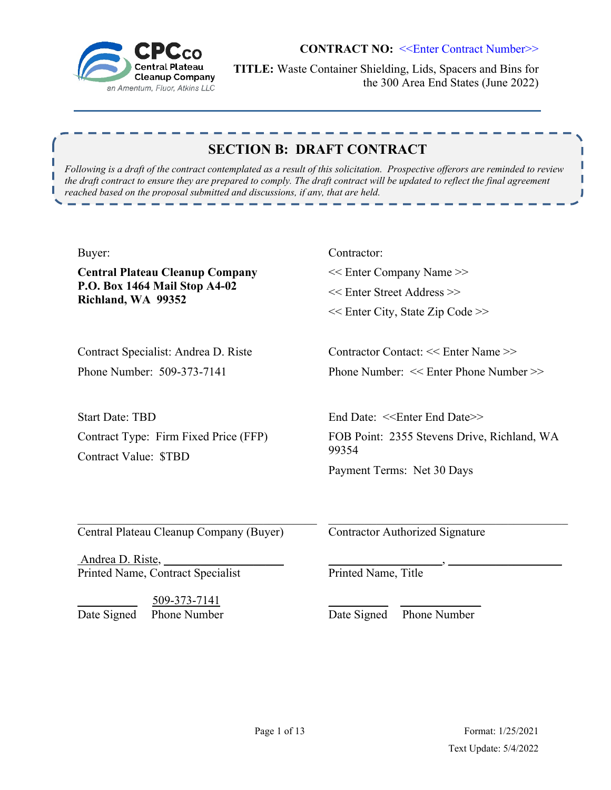

**TITLE:** Waste Container Shielding, Lids, Spacers and Bins for the 300 Area End States (June 2022)

# **SECTION B: DRAFT CONTRACT**

*Following is a draft of the contract contemplated as a result of this solicitation. Prospective offerors are reminded to review the draft contract to ensure they are prepared to comply. The draft contract will be updated to reflect the final agreement reached based on the proposal submitted and discussions, if any, that are held.* 

#### Buyer:

П

**Central Plateau Cleanup Company P.O. Box 1464 Mail Stop A4-02 Richland, WA 99352**

Contract Specialist: Andrea D. Riste Phone Number: 509-373-7141

Start Date: TBD Contract Type: Firm Fixed Price (FFP) Contract Value: \$TBD

Contractor: << Enter Company Name >> << Enter Street Address >> << Enter City, State Zip Code >>

Contractor Contact: << Enter Name >> Phone Number: << Enter Phone Number >>

End Date: <<Enter End Date>> FOB Point: 2355 Stevens Drive, Richland, WA 99354 Payment Terms: Net 30 Days

\_\_\_\_\_\_\_\_\_\_\_\_\_\_\_\_\_\_\_, \_\_\_\_\_\_\_\_\_\_\_\_\_\_\_\_\_\_\_

Central Plateau Cleanup Company (Buyer)

Andrea D. Riste, Printed Name, Contract Specialist

\_\_\_\_\_\_\_\_\_\_ 509-373-7141 Date Signed Phone Number Contractor Authorized Signature

Printed Name, Title

\_\_\_\_\_\_\_\_\_\_ \_\_\_\_\_\_\_\_\_\_\_\_\_ Date Signed Phone Number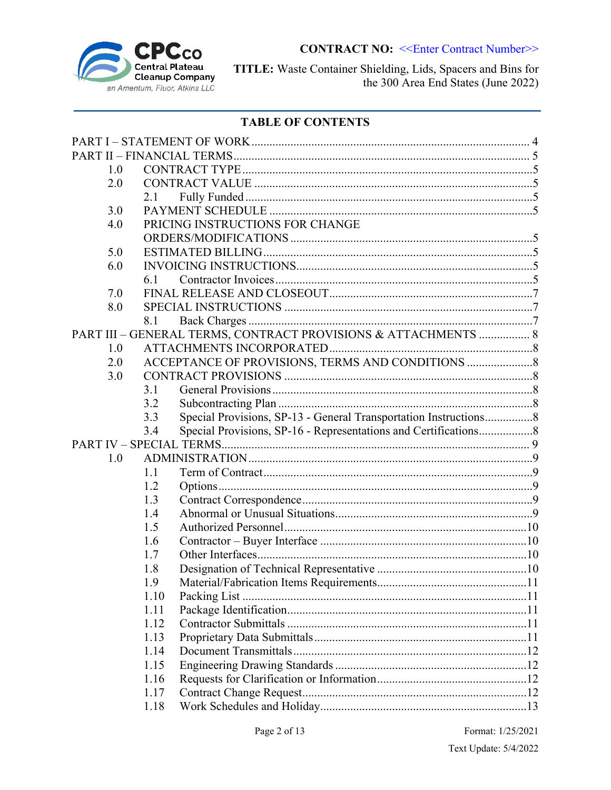

TITLE: Waste Container Shielding, Lids, Spacers and Bins for the 300 Area End States (June 2022)

# **TABLE OF CONTENTS**

| 1.0 |      |                                                                  |  |
|-----|------|------------------------------------------------------------------|--|
| 2.0 |      |                                                                  |  |
|     | 2.1  |                                                                  |  |
| 3.0 |      |                                                                  |  |
| 4.0 |      | PRICING INSTRUCTIONS FOR CHANGE                                  |  |
|     |      |                                                                  |  |
| 5.0 |      |                                                                  |  |
| 6.0 |      |                                                                  |  |
|     | 6.1  |                                                                  |  |
| 7.0 |      |                                                                  |  |
| 8.0 |      |                                                                  |  |
|     | 8.1  |                                                                  |  |
|     |      | PART III - GENERAL TERMS, CONTRACT PROVISIONS & ATTACHMENTS  8   |  |
| 1.0 |      |                                                                  |  |
| 2.0 |      | ACCEPTANCE OF PROVISIONS, TERMS AND CONDITIONS                   |  |
| 3.0 |      |                                                                  |  |
|     | 3.1  |                                                                  |  |
|     | 3.2  |                                                                  |  |
|     | 3.3  | Special Provisions, SP-13 - General Transportation Instructions8 |  |
|     | 3.4  | Special Provisions, SP-16 - Representations and Certifications8  |  |
|     |      |                                                                  |  |
| 1.0 |      |                                                                  |  |
|     | 1.1  |                                                                  |  |
|     | 1.2  |                                                                  |  |
|     | 1.3  |                                                                  |  |
|     | 1.4  |                                                                  |  |
|     | 1.5  |                                                                  |  |
|     | 1.6  |                                                                  |  |
|     | 1.7  |                                                                  |  |
|     | 1.8  |                                                                  |  |
|     | 1.9  |                                                                  |  |
|     | 1.10 |                                                                  |  |
|     | 1.11 |                                                                  |  |
|     | 1.12 |                                                                  |  |
|     | 1.13 |                                                                  |  |
|     | 1.14 |                                                                  |  |
|     | 1.15 |                                                                  |  |
|     | 1.16 |                                                                  |  |
|     | 1.17 |                                                                  |  |
|     | 1.18 |                                                                  |  |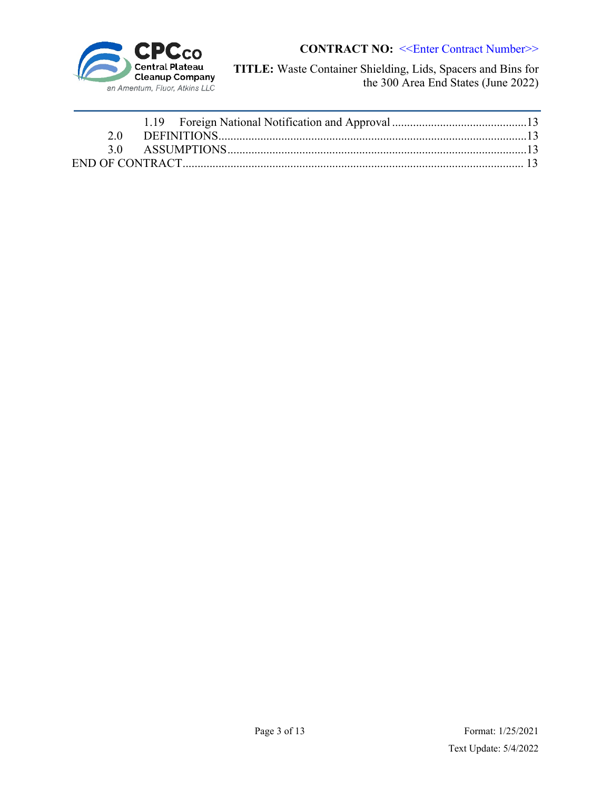

**TITLE:** Waste Container Shielding, Lids, Spacers and Bins for the 300 Area End States (June 2022)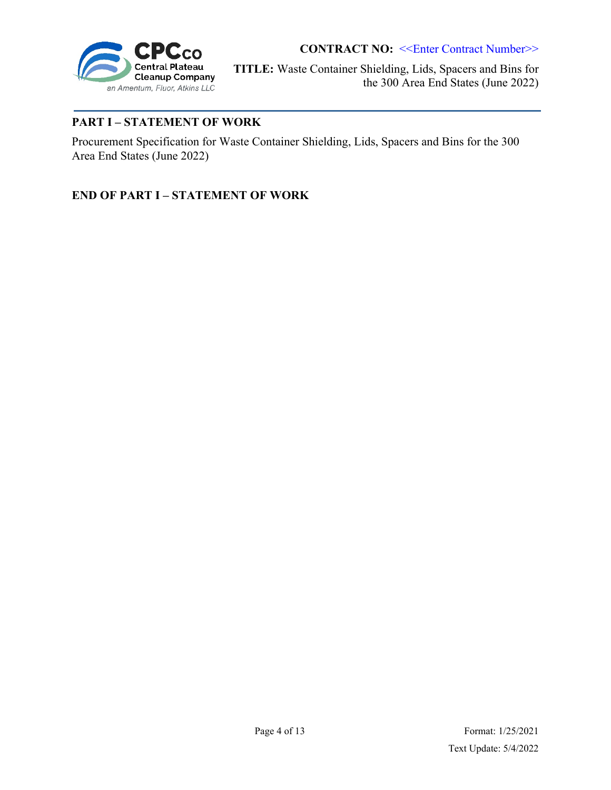

**TITLE:** Waste Container Shielding, Lids, Spacers and Bins for the 300 Area End States (June 2022)

## **PART I – STATEMENT OF WORK**

Procurement Specification for Waste Container Shielding, Lids, Spacers and Bins for the 300 Area End States (June 2022)

**END OF PART I – STATEMENT OF WORK**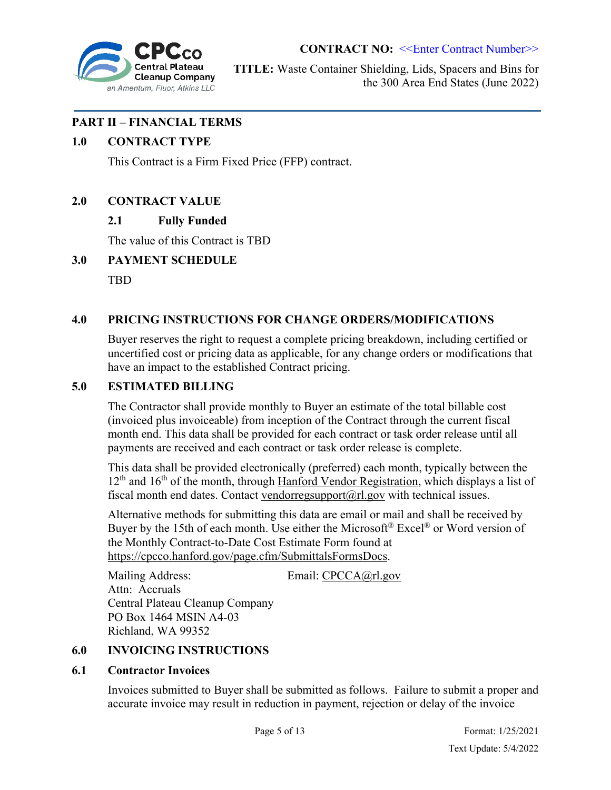

**TITLE:** Waste Container Shielding, Lids, Spacers and Bins for the 300 Area End States (June 2022)

### **PART II – FINANCIAL TERMS**

### **1.0 CONTRACT TYPE**

This Contract is a Firm Fixed Price (FFP) contract.

### **2.0 CONTRACT VALUE**

## **2.1 Fully Funded**

The value of this Contract is TBD

### **3.0 PAYMENT SCHEDULE**

TBD

### **4.0 PRICING INSTRUCTIONS FOR CHANGE ORDERS/MODIFICATIONS**

Buyer reserves the right to request a complete pricing breakdown, including certified or uncertified cost or pricing data as applicable, for any change orders or modifications that have an impact to the established Contract pricing.

### **5.0 ESTIMATED BILLING**

The Contractor shall provide monthly to Buyer an estimate of the total billable cost (invoiced plus invoiceable) from inception of the Contract through the current fiscal month end. This data shall be provided for each contract or task order release until all payments are received and each contract or task order release is complete.

This data shall be provided electronically (preferred) each month, typically between the  $12<sup>th</sup>$  and  $16<sup>th</sup>$  of the month, through Hanford Vendor Registration, which displays a list of fiscal month end dates. Contact vendorregsupport $(a)$ rl.gov with technical issues.

Alternative methods for submitting this data are email or mail and shall be received by Buyer by the 15th of each month. Use either the Microsoft<sup>®</sup> Excel<sup>®</sup> or Word version of the Monthly Contract-to-Date Cost Estimate Form found at https://cpcco.hanford.gov/page.cfm/SubmittalsFormsDocs.

Mailing Address: Email: CPCCA@rl.gov Attn: Accruals Central Plateau Cleanup Company PO Box 1464 MSIN A4-03 Richland, WA 99352

### **6.0 INVOICING INSTRUCTIONS**

### **6.1 Contractor Invoices**

Invoices submitted to Buyer shall be submitted as follows. Failure to submit a proper and accurate invoice may result in reduction in payment, rejection or delay of the invoice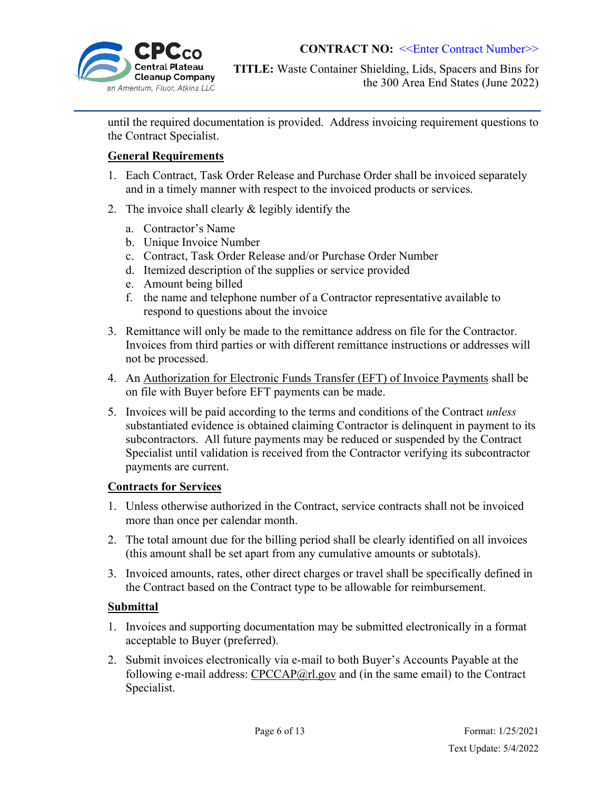

until the required documentation is provided. Address invoicing requirement questions to the Contract Specialist.

## **General Requirements**

- 1. Each Contract, Task Order Release and Purchase Order shall be invoiced separately and in a timely manner with respect to the invoiced products or services.
- 2. The invoice shall clearly & legibly identify the
	- a. Contractor's Name
	- b. Unique Invoice Number
	- c. Contract, Task Order Release and/or Purchase Order Number
	- d. Itemized description of the supplies or service provided
	- e. Amount being billed
	- f. the name and telephone number of a Contractor representative available to respond to questions about the invoice
- 3. Remittance will only be made to the remittance address on file for the Contractor. Invoices from third parties or with different remittance instructions or addresses will not be processed.
- 4. An Authorization for Electronic Funds Transfer (EFT) of Invoice Payments shall be on file with Buyer before EFT payments can be made.
- 5. Invoices will be paid according to the terms and conditions of the Contract *unless* substantiated evidence is obtained claiming Contractor is delinquent in payment to its subcontractors. All future payments may be reduced or suspended by the Contract Specialist until validation is received from the Contractor verifying its subcontractor payments are current.

#### **Contracts for Services**

- 1. Unless otherwise authorized in the Contract, service contracts shall not be invoiced more than once per calendar month.
- 2. The total amount due for the billing period shall be clearly identified on all invoices (this amount shall be set apart from any cumulative amounts or subtotals).
- 3. Invoiced amounts, rates, other direct charges or travel shall be specifically defined in the Contract based on the Contract type to be allowable for reimbursement.

#### **Submittal**

- 1. Invoices and supporting documentation may be submitted electronically in a format acceptable to Buyer (preferred).
- 2. Submit invoices electronically via e-mail to both Buyer's Accounts Payable at the following e-mail address:  $CPCCAP@r1.gov$  and (in the same email) to the Contract Specialist.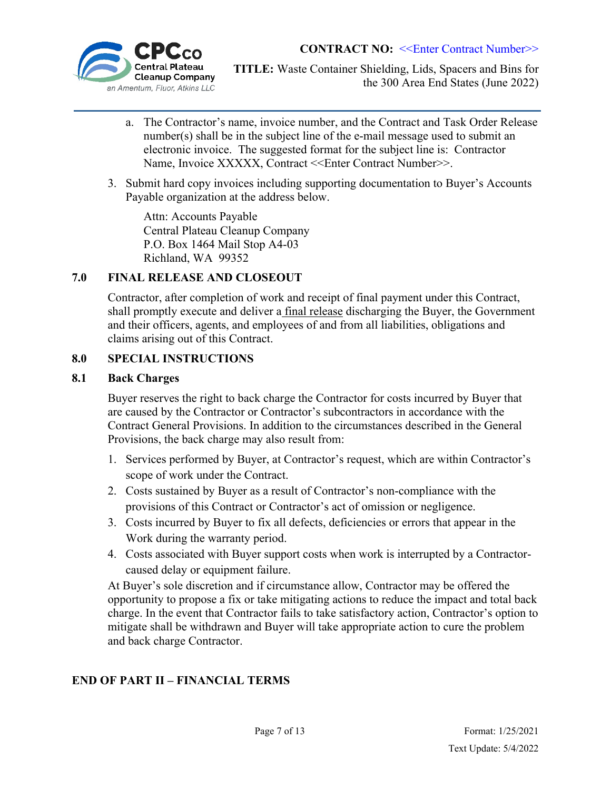

**TITLE:** Waste Container Shielding, Lids, Spacers and Bins for the 300 Area End States (June 2022)

- a. The Contractor's name, invoice number, and the Contract and Task Order Release number(s) shall be in the subject line of the e-mail message used to submit an electronic invoice. The suggested format for the subject line is: Contractor Name, Invoice XXXXX, Contract <<Enter Contract Number>>.
- 3. Submit hard copy invoices including supporting documentation to Buyer's Accounts Payable organization at the address below.

 Attn: Accounts Payable Central Plateau Cleanup Company P.O. Box 1464 Mail Stop A4-03 Richland, WA 99352

## **7.0 FINAL RELEASE AND CLOSEOUT**

Contractor, after completion of work and receipt of final payment under this Contract, shall promptly execute and deliver a final release discharging the Buyer, the Government and their officers, agents, and employees of and from all liabilities, obligations and claims arising out of this Contract.

### **8.0 SPECIAL INSTRUCTIONS**

### **8.1 Back Charges**

Buyer reserves the right to back charge the Contractor for costs incurred by Buyer that are caused by the Contractor or Contractor's subcontractors in accordance with the Contract General Provisions. In addition to the circumstances described in the General Provisions, the back charge may also result from:

- 1. Services performed by Buyer, at Contractor's request, which are within Contractor's scope of work under the Contract.
- 2. Costs sustained by Buyer as a result of Contractor's non-compliance with the provisions of this Contract or Contractor's act of omission or negligence.
- 3. Costs incurred by Buyer to fix all defects, deficiencies or errors that appear in the Work during the warranty period.
- 4. Costs associated with Buyer support costs when work is interrupted by a Contractorcaused delay or equipment failure.

At Buyer's sole discretion and if circumstance allow, Contractor may be offered the opportunity to propose a fix or take mitigating actions to reduce the impact and total back charge. In the event that Contractor fails to take satisfactory action, Contractor's option to mitigate shall be withdrawn and Buyer will take appropriate action to cure the problem and back charge Contractor.

### **END OF PART II – FINANCIAL TERMS**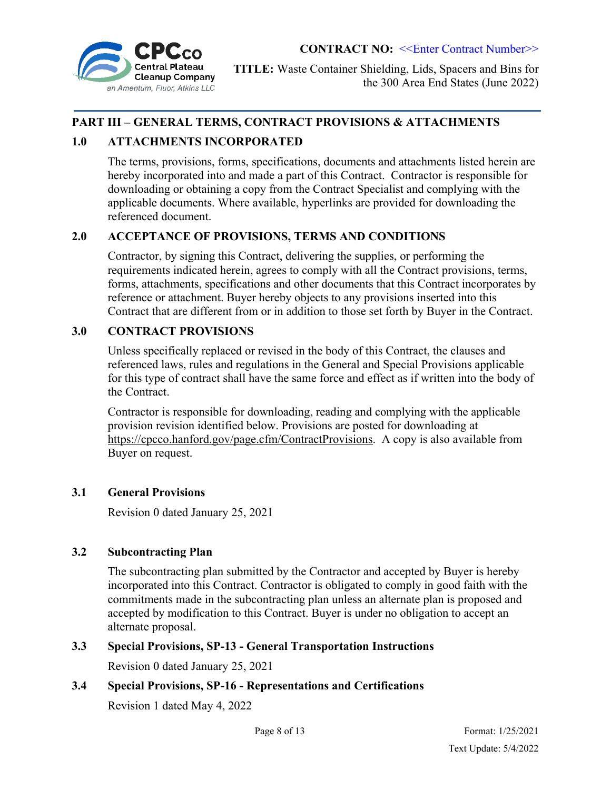

**TITLE:** Waste Container Shielding, Lids, Spacers and Bins for the 300 Area End States (June 2022)

## **PART III – GENERAL TERMS, CONTRACT PROVISIONS & ATTACHMENTS**

## **1.0 ATTACHMENTS INCORPORATED**

The terms, provisions, forms, specifications, documents and attachments listed herein are hereby incorporated into and made a part of this Contract. Contractor is responsible for downloading or obtaining a copy from the Contract Specialist and complying with the applicable documents. Where available, hyperlinks are provided for downloading the referenced document.

### **2.0 ACCEPTANCE OF PROVISIONS, TERMS AND CONDITIONS**

Contractor, by signing this Contract, delivering the supplies, or performing the requirements indicated herein, agrees to comply with all the Contract provisions, terms, forms, attachments, specifications and other documents that this Contract incorporates by reference or attachment. Buyer hereby objects to any provisions inserted into this Contract that are different from or in addition to those set forth by Buyer in the Contract.

## **3.0 CONTRACT PROVISIONS**

Unless specifically replaced or revised in the body of this Contract, the clauses and referenced laws, rules and regulations in the General and Special Provisions applicable for this type of contract shall have the same force and effect as if written into the body of the Contract.

Contractor is responsible for downloading, reading and complying with the applicable provision revision identified below. Provisions are posted for downloading at https://cpcco.hanford.gov/page.cfm/ContractProvisions. A copy is also available from Buyer on request.

### **3.1 General Provisions**

Revision 0 dated January 25, 2021

### **3.2 Subcontracting Plan**

The subcontracting plan submitted by the Contractor and accepted by Buyer is hereby incorporated into this Contract. Contractor is obligated to comply in good faith with the commitments made in the subcontracting plan unless an alternate plan is proposed and accepted by modification to this Contract. Buyer is under no obligation to accept an alternate proposal.

### **3.3 Special Provisions, SP-13 - General Transportation Instructions**

Revision 0 dated January 25, 2021

## **3.4 Special Provisions, SP-16 - Representations and Certifications**

Revision 1 dated May 4, 2022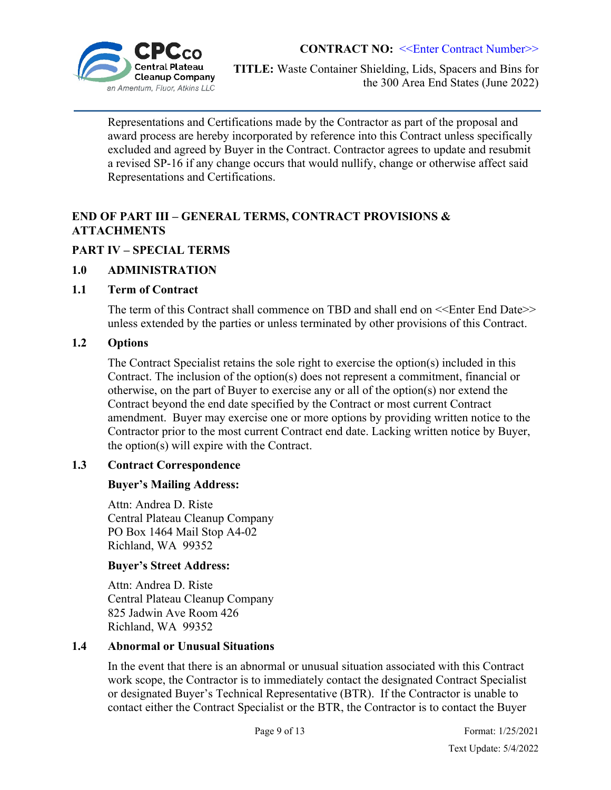

**TITLE:** Waste Container Shielding, Lids, Spacers and Bins for the 300 Area End States (June 2022)

Representations and Certifications made by the Contractor as part of the proposal and award process are hereby incorporated by reference into this Contract unless specifically excluded and agreed by Buyer in the Contract. Contractor agrees to update and resubmit a revised SP-16 if any change occurs that would nullify, change or otherwise affect said Representations and Certifications.

## **END OF PART III – GENERAL TERMS, CONTRACT PROVISIONS & ATTACHMENTS**

## **PART IV – SPECIAL TERMS**

### **1.0 ADMINISTRATION**

### **1.1 Term of Contract**

The term of this Contract shall commence on TBD and shall end on  $\leq$ Enter End Date>> unless extended by the parties or unless terminated by other provisions of this Contract.

## **1.2 Options**

The Contract Specialist retains the sole right to exercise the option(s) included in this Contract. The inclusion of the option(s) does not represent a commitment, financial or otherwise, on the part of Buyer to exercise any or all of the option(s) nor extend the Contract beyond the end date specified by the Contract or most current Contract amendment. Buyer may exercise one or more options by providing written notice to the Contractor prior to the most current Contract end date. Lacking written notice by Buyer, the option(s) will expire with the Contract.

## **1.3 Contract Correspondence**

## **Buyer's Mailing Address:**

Attn: Andrea D. Riste Central Plateau Cleanup Company PO Box 1464 Mail Stop A4-02 Richland, WA 99352

## **Buyer's Street Address:**

Attn: Andrea D. Riste Central Plateau Cleanup Company 825 Jadwin Ave Room 426 Richland, WA 99352

## **1.4 Abnormal or Unusual Situations**

In the event that there is an abnormal or unusual situation associated with this Contract work scope, the Contractor is to immediately contact the designated Contract Specialist or designated Buyer's Technical Representative (BTR). If the Contractor is unable to contact either the Contract Specialist or the BTR, the Contractor is to contact the Buyer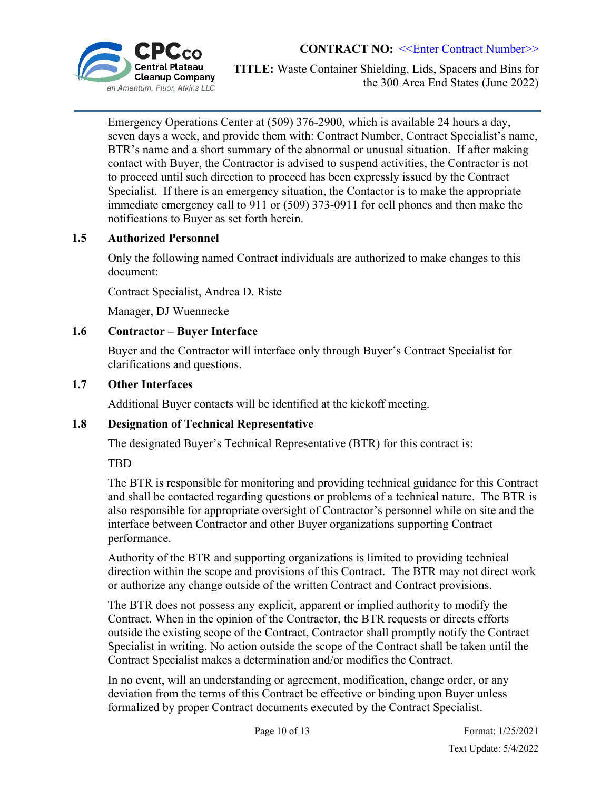

**TITLE:** Waste Container Shielding, Lids, Spacers and Bins for the 300 Area End States (June 2022)

Emergency Operations Center at (509) 376-2900, which is available 24 hours a day, seven days a week, and provide them with: Contract Number, Contract Specialist's name, BTR's name and a short summary of the abnormal or unusual situation. If after making contact with Buyer, the Contractor is advised to suspend activities, the Contractor is not to proceed until such direction to proceed has been expressly issued by the Contract Specialist. If there is an emergency situation, the Contactor is to make the appropriate immediate emergency call to 911 or (509) 373-0911 for cell phones and then make the notifications to Buyer as set forth herein.

### **1.5 Authorized Personnel**

Only the following named Contract individuals are authorized to make changes to this document:

Contract Specialist, Andrea D. Riste

Manager, DJ Wuennecke

### **1.6 Contractor – Buyer Interface**

Buyer and the Contractor will interface only through Buyer's Contract Specialist for clarifications and questions.

### **1.7 Other Interfaces**

Additional Buyer contacts will be identified at the kickoff meeting.

## **1.8 Designation of Technical Representative**

The designated Buyer's Technical Representative (BTR) for this contract is:

TBD

The BTR is responsible for monitoring and providing technical guidance for this Contract and shall be contacted regarding questions or problems of a technical nature. The BTR is also responsible for appropriate oversight of Contractor's personnel while on site and the interface between Contractor and other Buyer organizations supporting Contract performance.

Authority of the BTR and supporting organizations is limited to providing technical direction within the scope and provisions of this Contract. The BTR may not direct work or authorize any change outside of the written Contract and Contract provisions.

The BTR does not possess any explicit, apparent or implied authority to modify the Contract. When in the opinion of the Contractor, the BTR requests or directs efforts outside the existing scope of the Contract, Contractor shall promptly notify the Contract Specialist in writing. No action outside the scope of the Contract shall be taken until the Contract Specialist makes a determination and/or modifies the Contract.

In no event, will an understanding or agreement, modification, change order, or any deviation from the terms of this Contract be effective or binding upon Buyer unless formalized by proper Contract documents executed by the Contract Specialist.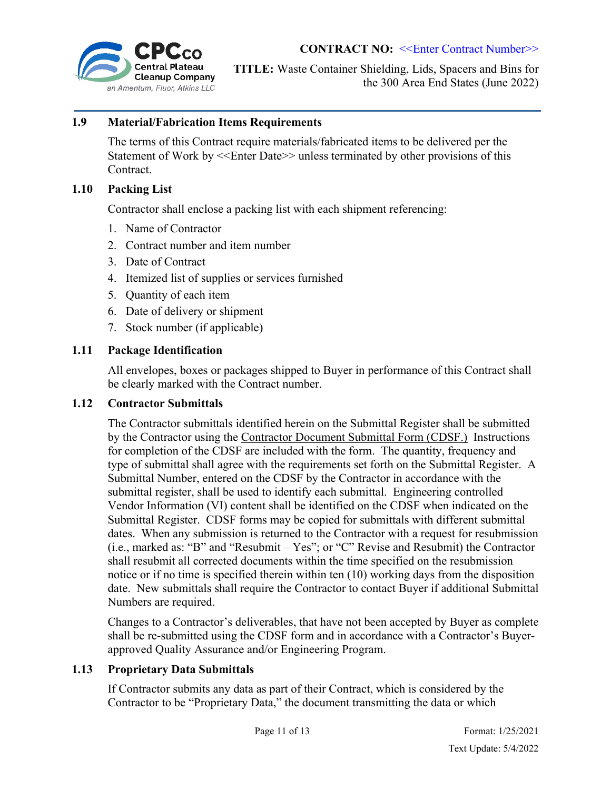

### **1.9 Material/Fabrication Items Requirements**

The terms of this Contract require materials/fabricated items to be delivered per the Statement of Work by <<Enter Date>> unless terminated by other provisions of this Contract.

#### **1.10 Packing List**

Contractor shall enclose a packing list with each shipment referencing:

- 1. Name of Contractor
- 2. Contract number and item number
- 3. Date of Contract
- 4. Itemized list of supplies or services furnished
- 5. Quantity of each item
- 6. Date of delivery or shipment
- 7. Stock number (if applicable)

### **1.11 Package Identification**

All envelopes, boxes or packages shipped to Buyer in performance of this Contract shall be clearly marked with the Contract number.

#### **1.12 Contractor Submittals**

The Contractor submittals identified herein on the Submittal Register shall be submitted by the Contractor using the Contractor Document Submittal Form (CDSF.) Instructions for completion of the CDSF are included with the form. The quantity, frequency and type of submittal shall agree with the requirements set forth on the Submittal Register. A Submittal Number, entered on the CDSF by the Contractor in accordance with the submittal register, shall be used to identify each submittal. Engineering controlled Vendor Information (VI) content shall be identified on the CDSF when indicated on the Submittal Register. CDSF forms may be copied for submittals with different submittal dates. When any submission is returned to the Contractor with a request for resubmission (i.e., marked as: "B" and "Resubmit – Yes"; or "C" Revise and Resubmit) the Contractor shall resubmit all corrected documents within the time specified on the resubmission notice or if no time is specified therein within ten (10) working days from the disposition date. New submittals shall require the Contractor to contact Buyer if additional Submittal Numbers are required.

Changes to a Contractor's deliverables, that have not been accepted by Buyer as complete shall be re-submitted using the CDSF form and in accordance with a Contractor's Buyerapproved Quality Assurance and/or Engineering Program.

### **1.13 Proprietary Data Submittals**

If Contractor submits any data as part of their Contract, which is considered by the Contractor to be "Proprietary Data," the document transmitting the data or which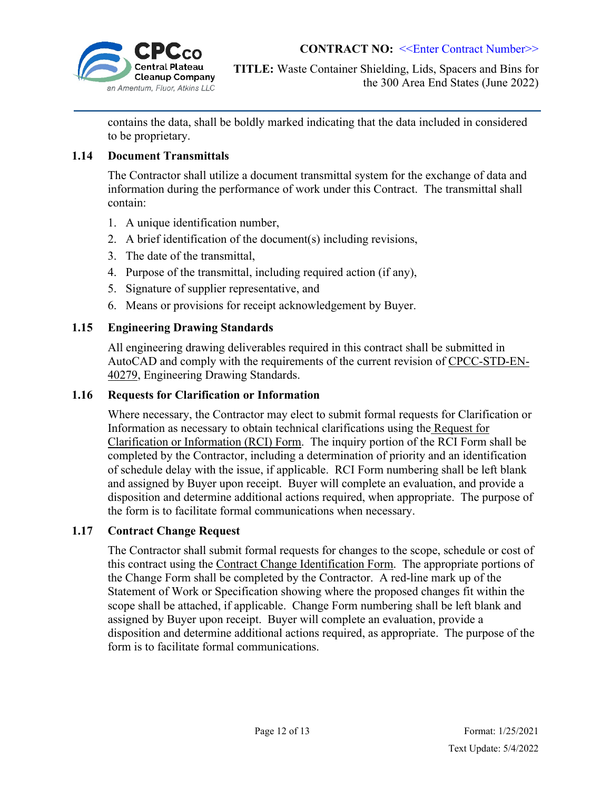

contains the data, shall be boldly marked indicating that the data included in considered to be proprietary.

### **1.14 Document Transmittals**

The Contractor shall utilize a document transmittal system for the exchange of data and information during the performance of work under this Contract. The transmittal shall contain:

- 1. A unique identification number,
- 2. A brief identification of the document(s) including revisions,
- 3. The date of the transmittal,
- 4. Purpose of the transmittal, including required action (if any),
- 5. Signature of supplier representative, and
- 6. Means or provisions for receipt acknowledgement by Buyer.

### **1.15 Engineering Drawing Standards**

All engineering drawing deliverables required in this contract shall be submitted in AutoCAD and comply with the requirements of the current revision of CPCC-STD-EN-40279, Engineering Drawing Standards.

### **1.16 Requests for Clarification or Information**

Where necessary, the Contractor may elect to submit formal requests for Clarification or Information as necessary to obtain technical clarifications using the Request for Clarification or Information (RCI) Form. The inquiry portion of the RCI Form shall be completed by the Contractor, including a determination of priority and an identification of schedule delay with the issue, if applicable. RCI Form numbering shall be left blank and assigned by Buyer upon receipt. Buyer will complete an evaluation, and provide a disposition and determine additional actions required, when appropriate. The purpose of the form is to facilitate formal communications when necessary.

### **1.17 Contract Change Request**

The Contractor shall submit formal requests for changes to the scope, schedule or cost of this contract using the Contract Change Identification Form. The appropriate portions of the Change Form shall be completed by the Contractor. A red-line mark up of the Statement of Work or Specification showing where the proposed changes fit within the scope shall be attached, if applicable. Change Form numbering shall be left blank and assigned by Buyer upon receipt. Buyer will complete an evaluation, provide a disposition and determine additional actions required, as appropriate. The purpose of the form is to facilitate formal communications.